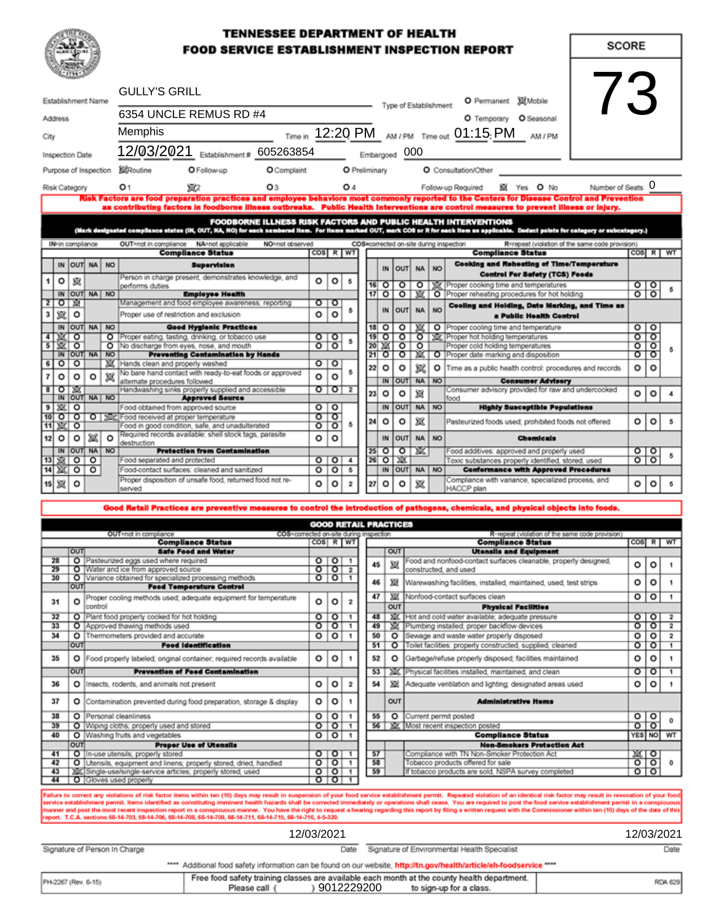### **TENNESSEE DEPARTMENT OF HEALTH FOOD SERVICE ESTABLISHMENT INSPECTION REPORT**

**SCORE** 

| Establishment Name      |                |                  |                       |         | <b>GULLY'S GRILL</b>                                                                              |                                                                        |                                       |                                                |                  | $\sqrt{2}$<br><b>M</b> Mobile<br>O Permanent<br>Type of Establishment |                                                      |               |                                               |                                       |                                                                                                                                                                                                                                                                                       |                         |                    |  |
|-------------------------|----------------|------------------|-----------------------|---------|---------------------------------------------------------------------------------------------------|------------------------------------------------------------------------|---------------------------------------|------------------------------------------------|------------------|-----------------------------------------------------------------------|------------------------------------------------------|---------------|-----------------------------------------------|---------------------------------------|---------------------------------------------------------------------------------------------------------------------------------------------------------------------------------------------------------------------------------------------------------------------------------------|-------------------------|--------------------|--|
|                         | <b>Address</b> |                  |                       |         | 6354 UNCLE REMUS RD #4                                                                            |                                                                        |                                       |                                                |                  |                                                                       |                                                      |               |                                               |                                       | O Temporary O Seasonal                                                                                                                                                                                                                                                                |                         |                    |  |
| City                    |                |                  |                       |         | <b>Memphis</b>                                                                                    |                                                                        |                                       |                                                |                  |                                                                       | Time in 12:20 PM AM/PM Time out 01:15: PM<br>AM / PM |               |                                               |                                       |                                                                                                                                                                                                                                                                                       |                         |                    |  |
|                         |                | Inspection Date  |                       |         | 12/03/2021 Establishment # 605263854                                                              |                                                                        |                                       |                                                |                  |                                                                       |                                                      | Embargoed 000 |                                               |                                       |                                                                                                                                                                                                                                                                                       |                         |                    |  |
|                         |                |                  | Purpose of Inspection |         | <b>X</b> Routine<br>O Follow-up                                                                   | O Complaint                                                            |                                       |                                                |                  | O Preliminary                                                         |                                                      |               |                                               |                                       | O Consultation/Other                                                                                                                                                                                                                                                                  |                         |                    |  |
|                         |                | Risk Category    |                       |         | O <sub>1</sub><br>Y C2                                                                            | O3                                                                     |                                       |                                                | O 4              |                                                                       |                                                      |               |                                               |                                       | Number of Seats O<br>鼠 Yes O No<br>Follow-up Required                                                                                                                                                                                                                                 |                         |                    |  |
|                         |                |                  |                       |         |                                                                                                   |                                                                        |                                       |                                                |                  |                                                                       |                                                      |               |                                               |                                       | Risk Factors are food preparation practices and employee behaviors most commonly reported to the Centers for Disease Control and Prevention<br>as contributing factors in foodborne illness outbreaks. Public Health Interventions are control measures to prevent illness or injury. |                         |                    |  |
|                         |                |                  |                       |         |                                                                                                   |                                                                        |                                       |                                                |                  |                                                                       |                                                      |               |                                               |                                       | FOODBORNE ILLNESS RISK FACTORS AND PUBLIC HEALTH INTERVENTIONS                                                                                                                                                                                                                        |                         |                    |  |
|                         |                |                  |                       |         |                                                                                                   |                                                                        |                                       |                                                |                  |                                                                       |                                                      |               |                                               |                                       | (Mark designated compliance status (IN, OUT, NA, NO) for each aumbered item. For items marked OUT, mark COS or R for each item as applicable. Deduct points for category or subcategory.)                                                                                             |                         |                    |  |
|                         |                | IN-in compliance |                       |         | OUT=not in compliance NA=not applicable<br><b>Compliance Status</b>                               | NO=not observed                                                        |                                       | COS R WT                                       |                  |                                                                       |                                                      |               |                                               |                                       | COS=corrected on-site during inspection<br>R=repeat (violation of the same code provision)<br><b>Compliance Status</b>                                                                                                                                                                |                         | COS R WT           |  |
|                         |                |                  | IN OUT NA NO          |         | <b>Supervision</b>                                                                                |                                                                        |                                       |                                                |                  |                                                                       |                                                      |               |                                               |                                       | <b>Cooking and Reheating of Time/Temperature</b>                                                                                                                                                                                                                                      |                         |                    |  |
|                         |                |                  |                       |         | Person in charge present, demonstrates knowledge, and                                             |                                                                        |                                       |                                                |                  | IN                                                                    | out                                                  | <b>NA</b>     | NO <sub>1</sub>                               | <b>Control For Safety (TCS) Foods</b> |                                                                                                                                                                                                                                                                                       |                         |                    |  |
|                         | o              | 貨                |                       |         | performs duties                                                                                   |                                                                        | $\circ$                               | $\circ$                                        | 5                |                                                                       | 16 O                                                 | $\circ$       | $\circ$                                       |                                       | Proper cooking time and temperatures                                                                                                                                                                                                                                                  | $\circ$   $\circ$       |                    |  |
| 2                       | া জা           |                  | IN OUT NA NO          |         | <b>Employee Health</b><br>Management and food employee awareness; reporting                       |                                                                        | ०ा०                                   |                                                |                  | $17$ O<br>$\circ$<br>Ж                                                |                                                      |               | O Proper reheating procedures for hot holding | $\circ$ $\circ$                       |                                                                                                                                                                                                                                                                                       |                         |                    |  |
| 3                       | 黨              | ۰                |                       |         | Proper use of restriction and exclusion                                                           |                                                                        | ٥                                     | $\circ$                                        | 5                |                                                                       | IN                                                   |               | OUT NA                                        | NO <sub>1</sub>                       | Cooling and Holding, Date Marking, and Time as<br>a Public Health Control                                                                                                                                                                                                             |                         |                    |  |
|                         |                |                  | IN OUT NA NO          |         | <b>Good Hygienic Practices</b>                                                                    |                                                                        |                                       |                                                |                  |                                                                       | $18$ O                                               | o             | XX                                            |                                       | O Proper cooling time and temperature                                                                                                                                                                                                                                                 | 00                      |                    |  |
| 4                       | <b>DECTO</b>   |                  |                       |         | O Proper eating, tasting, drinking, or tobacco use                                                |                                                                        | ०ा०                                   |                                                | s                |                                                                       | $19$ O                                               |               |                                               |                                       | O O   这   Proper hot holding temperatures                                                                                                                                                                                                                                             | তাতা                    |                    |  |
| $\overline{5}$          | 窓口             |                  |                       |         | O No discharge from eyes, nose, and mouth                                                         |                                                                        | ा                                     | ०                                              |                  |                                                                       | 20.25                                                |               | $\circ$ $\circ$                               |                                       | Proper cold holding temperatures                                                                                                                                                                                                                                                      | $\overline{\mathbf{o}}$ | $\overline{\circ}$ |  |
|                         |                |                  | IN OUT NA NO          |         | <b>Preventing Centamination by Hands</b>                                                          |                                                                        |                                       |                                                |                  |                                                                       | $21$ O                                               | $\circ$       | ऋा                                            |                                       | O Proper date marking and disposition                                                                                                                                                                                                                                                 | ०                       | ত                  |  |
| 6                       | তা             | ত                |                       |         | EX Hands clean and properly washed<br>No bare hand contact with ready-to-eat foods or approved    |                                                                        | $\circ$ $\circ$                       |                                                | 5                | 22                                                                    | o                                                    | o             | 冥                                             |                                       | O   Time as a public health control: procedures and records                                                                                                                                                                                                                           | o                       | $\circ$            |  |
| 7                       | o              | $\circ$          | $\circ$               | 复       | alternate procedures followed                                                                     |                                                                        | $\circ$                               | o                                              |                  |                                                                       | <b>IN</b>                                            | OUT           |                                               | NA NO                                 | <b>Consumer Advisory</b>                                                                                                                                                                                                                                                              |                         |                    |  |
|                         |                | ষাতায়ল          |                       |         | Handwashing sinks properly supplied and accessible                                                |                                                                        |                                       | $\overline{\text{0}}$ or $\overline{\text{2}}$ |                  | 23                                                                    | $\circ$                                              | o             | 冦                                             |                                       | Consumer advisory provided for raw and undercooked                                                                                                                                                                                                                                    | о                       | ۰                  |  |
|                         |                |                  | IN OUT NA NO          |         | <b>Approved Source</b>                                                                            |                                                                        |                                       |                                                |                  |                                                                       |                                                      |               |                                               |                                       | food                                                                                                                                                                                                                                                                                  |                         |                    |  |
| $\overline{\mathbf{9}}$ | 窓口             |                  |                       |         | Food obtained from approved source                                                                |                                                                        | $\overline{\circ}$ $\overline{\circ}$ |                                                |                  |                                                                       | IN                                                   | OUT           | <b>NA</b>                                     | <b>NO</b>                             | <b>Highly Susceptible Populations</b>                                                                                                                                                                                                                                                 |                         |                    |  |
|                         | 11 文           | $\circ$          |                       |         | 10 0 0 0 3 Food received at proper temperature<br>Food in good condition, safe, and unadulterated |                                                                        | ᠳ<br>०                                | ᠊ᢐ<br>ত                                        | 5                | 24                                                                    | $\circ$                                              | $\circ$       | 斌                                             |                                       | Pasteurized foods used; prohibited foods not offered                                                                                                                                                                                                                                  | $\circ$                 | $\circ$            |  |
| 12                      | $\circ$        | $\circ$          | 冠                     | $\circ$ | destruction                                                                                       | Required records available: shell stock tags, parasite<br>$\circ$<br>o |                                       |                                                | IN               | OUT                                                                   | <b>NA</b>                                            | <b>NO</b>     | <b>Chemicals</b>                              |                                       |                                                                                                                                                                                                                                                                                       |                         |                    |  |
|                         |                |                  | IN OUT NA NO          |         | <b>Protection from Contamination</b>                                                              |                                                                        |                                       |                                                |                  |                                                                       | $25$ O                                               | ०             | DK.                                           |                                       | Food additives: approved and properly used                                                                                                                                                                                                                                            | $\circ$   $\circ$       |                    |  |
|                         |                | 13 夏 0 0         |                       |         | Food separated and protected                                                                      |                                                                        |                                       | $\circ$ $\circ$ $\circ$                        | $\overline{4}$   |                                                                       | $26$ O                                               | 25            |                                               |                                       | Toxic substances properly identified, stored, used                                                                                                                                                                                                                                    | $\circ$ to              |                    |  |
|                         |                | $14 \times 00$   |                       |         | Food-contact surfaces: cleaned and sanitized                                                      |                                                                        | o                                     | $\circ$                                        | 5                |                                                                       | IN                                                   |               | OUT NA NO                                     |                                       | <b>Conformance with Approved Procedures</b>                                                                                                                                                                                                                                           |                         |                    |  |
|                         | 15 观           | $\circ$          |                       |         | Proper disposition of unsafe food, returned food not re-<br>served                                |                                                                        | o                                     | o                                              | $\boldsymbol{2}$ | 27                                                                    | $\circ$                                              | o             | 宸                                             |                                       | Compliance with variance, specialized process, and<br>HACCP plan                                                                                                                                                                                                                      | о                       | o                  |  |
|                         |                |                  |                       |         |                                                                                                   |                                                                        |                                       |                                                |                  |                                                                       |                                                      |               |                                               |                                       |                                                                                                                                                                                                                                                                                       |                         |                    |  |

# Good Retail Practices are preventive measures to control the introduction of pathogens, chemicals, and physical objects into foods.

| <b>GOOD RETAIL PRACTICES</b>                                     |                                                                                                                                      |                                                                         |           |                         |                                                            |                                            |                                       |                                                                  |         |                    |              |  |
|------------------------------------------------------------------|--------------------------------------------------------------------------------------------------------------------------------------|-------------------------------------------------------------------------|-----------|-------------------------|------------------------------------------------------------|--------------------------------------------|---------------------------------------|------------------------------------------------------------------|---------|--------------------|--------------|--|
| OUT=not in compliance<br>COS=corrected on-site during inspection |                                                                                                                                      |                                                                         |           |                         |                                                            |                                            |                                       | R-repeat (violation of the same code provision)                  |         |                    |              |  |
| <b>Compliance Status</b>                                         |                                                                                                                                      |                                                                         |           |                         |                                                            | $\cos$ R $ W $<br><b>Compliance Status</b> |                                       |                                                                  |         |                    | $\cos$ R WT  |  |
|                                                                  | OUT                                                                                                                                  | Safe Food and Water                                                     |           |                         |                                                            | OUT                                        | <b>Utensils and Equipment</b>         |                                                                  |         |                    |              |  |
| $\overline{28}$                                                  |                                                                                                                                      | O Pasteurized eggs used where required                                  |           | 0 0 1                   |                                                            | 45                                         | 獄                                     | Food and nonfood-contact surfaces cleanable, properly designed,  | $\circ$ | $\circ$            |              |  |
| 29                                                               |                                                                                                                                      | O Water and ice from approved source                                    | $\circ$ 1 | ा                       | $\overline{z}$                                             |                                            |                                       | constructed, and used                                            |         |                    |              |  |
| 30 <sub>2</sub>                                                  |                                                                                                                                      | O Variance obtained for specialized processing methods                  |           | 0 0 1                   |                                                            | 46                                         | 冠                                     | Warewashing facilities, installed, maintained, used, test strips | $\circ$ | ٥                  |              |  |
|                                                                  | OUT                                                                                                                                  | <b>Food Temperature Control</b>                                         |           |                         |                                                            |                                            |                                       |                                                                  |         |                    |              |  |
| 31                                                               | $\circ$                                                                                                                              | Proper cooling methods used; adequate equipment for temperature         | $\circ$   | $\circ$                 | $\overline{2}$                                             | 47                                         | 冠                                     | Nonfood-contact surfaces clean                                   | o       | $\circ$            |              |  |
|                                                                  |                                                                                                                                      | loontroll                                                               |           |                         |                                                            |                                            | OUT                                   | <b>Physical Facilities</b>                                       |         |                    |              |  |
| 32                                                               |                                                                                                                                      | O Plant food properly cooked for hot holding                            | $\circ$   | ত                       |                                                            | 48                                         |                                       | For and cold water available; adequate pressure                  | $\circ$ | $\circ$            | $\mathbf{z}$ |  |
| 33                                                               |                                                                                                                                      | O Approved thawing methods used                                         | ᡒ         | ०                       |                                                            | 49                                         |                                       | Plumbing installed; proper backflow devices                      | ०       | ०                  |              |  |
| 34                                                               |                                                                                                                                      | O Thermometers provided and accurate                                    | o         | $\circ$                 |                                                            | 50<br>o                                    |                                       | Sewage and waste water properly disposed                         | o       | ٥                  |              |  |
| OUT<br><b>Food Identification</b>                                |                                                                                                                                      |                                                                         | 51        | o                       | Toilet facilities: properly constructed, supplied, cleaned | o                                          | ०                                     |                                                                  |         |                    |              |  |
| 35                                                               |                                                                                                                                      | O Food properly labeled; original container; required records available | $\circ$   | $\circ$                 |                                                            | 52                                         | $\circ$                               | Garbage/refuse properly disposed; facilities maintained          | o       | $\circ$            |              |  |
|                                                                  | OUT<br><b>Prevention of Food Contamination</b>                                                                                       |                                                                         | 53        |                         | Physical facilities installed, maintained, and clean       | ०                                          | ॰                                     |                                                                  |         |                    |              |  |
| 36                                                               |                                                                                                                                      | O linsects, rodents, and animals not present                            | $\circ$   | $\circ$                 | 2                                                          | 54                                         | P.K                                   | Adequate ventilation and lighting; designated areas used         | o       | $\circ$            |              |  |
| 37                                                               |                                                                                                                                      | O Contamination prevented during food preparation, storage & display    | o         | $\circ$                 |                                                            |                                            | OUT<br><b>Administrative Items</b>    |                                                                  |         |                    |              |  |
| 38                                                               |                                                                                                                                      | O Personal cleanliness                                                  | $\circ$   | $\circ$                 |                                                            | 55<br>o<br>Current permit posted           |                                       |                                                                  | o       | $\frac{1}{\sigma}$ |              |  |
| 39<br>O Wiping cloths; properly used and stored                  |                                                                                                                                      | $\overline{\circ}$                                                      | ত         |                         |                                                            |                                            | 56   EX Most recent inspection posted | $\overline{\mathsf{o}}$                                          |         |                    |              |  |
| 40                                                               |                                                                                                                                      | O Washing fruits and vegetables                                         |           | O   O                   | -1                                                         | <b>Compliance Status</b>                   |                                       |                                                                  |         |                    | YES NO WT    |  |
| <b>Proper Use of Utensils</b><br>OUT                             |                                                                                                                                      |                                                                         |           |                         |                                                            |                                            | <b>Non-Smokers Protection Act</b>     |                                                                  |         |                    |              |  |
| 41                                                               |                                                                                                                                      | O In-use utensils; properly stored                                      |           | $\circ$ $\circ$ $\circ$ | -1                                                         | 57                                         |                                       | Compliance with TN Non-Smoker Protection Act                     |         | ≋ा०                |              |  |
| 42                                                               |                                                                                                                                      | O Utensils, equipment and linens; properly stored, dried, handled       | $\circ$   | $\circ$                 |                                                            | 58                                         |                                       | Tobacco products offered for sale                                | o       | $\overline{\circ}$ |              |  |
| 43                                                               | 59<br>$\circ$ To<br>Single-use/single-service articles; properly stored, used<br>If tobacco products are sold. NSPA survey completed |                                                                         |           |                         | 00                                                         |                                            |                                       |                                                                  |         |                    |              |  |
| 44                                                               | $\circ$ to $\circ$<br>O Gloves used properly                                                                                         |                                                                         |           |                         |                                                            |                                            |                                       |                                                                  |         |                    |              |  |

Failure to correct any violations of risk factor items within ten (10) days may result in suspension of your food service establishment permit. Repeated violation of an identical risk factor may result in revocation of you

|                                                                                                                       | 12/03/2021                                                                                                                 |                                              | 12/03/2021 |  |  |  |  |  |
|-----------------------------------------------------------------------------------------------------------------------|----------------------------------------------------------------------------------------------------------------------------|----------------------------------------------|------------|--|--|--|--|--|
| Signature of Person In Charge                                                                                         | Date                                                                                                                       | Signature of Environmental Health Specialist | Date       |  |  |  |  |  |
| **** Additional food safety information can be found on our website, http://tn.gow/health/article/eh-foodservice **** |                                                                                                                            |                                              |            |  |  |  |  |  |
| PH-2267 (Rev. 6-15)                                                                                                   | Free food safety training classes are available each month at the county health department.<br>9012229200<br>Please call ( | to sign-up for a class.                      | RDA 629    |  |  |  |  |  |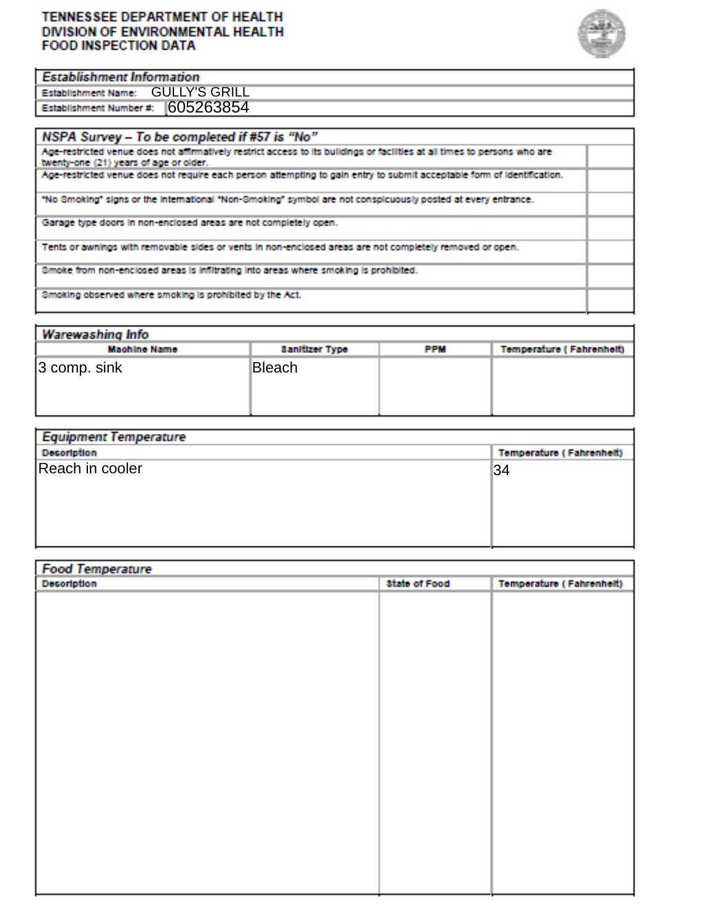#### **TENNESSEE DEPARTMENT OF HEALTH** DIVISION OF ENVIRONMENTAL HEALTH **FOOD INSPECTION DATA**



#### **Establishment Information**

GULLY'S GRILL 605263854

| NSPA Survey - To be completed if #57 is "No"                                                                                                                         |  |
|----------------------------------------------------------------------------------------------------------------------------------------------------------------------|--|
| Age-restricted venue does not affirmatively restrict access to its buildings or facilities at all times to persons who are<br>twenty-one (21) years of age or older. |  |
| Age-restricted venue does not require each person attempting to gain entry to submit acceptable form of identification.                                              |  |
| "No Smoking" signs or the international "Non-Smoking" symbol are not conspicuously posted at every entrance.                                                         |  |
| Garage type doors in non-enclosed areas are not completely open.                                                                                                     |  |
| Tents or awnings with removable sides or vents in non-enclosed areas are not completely removed or open.                                                             |  |
| Smoke from non-enclosed areas is infiltrating into areas where smoking is prohibited.                                                                                |  |
| Smoking observed where smoking is prohibited by the Act.                                                                                                             |  |

| Warewashing Info    |                       |            |                          |  |  |  |  |  |  |
|---------------------|-----------------------|------------|--------------------------|--|--|--|--|--|--|
| <b>Machine Name</b> | <b>Sanitizer Type</b> | <b>PPM</b> | Temperature (Fahrenheit) |  |  |  |  |  |  |
| $ 3$ comp. sink     | Bleach                |            |                          |  |  |  |  |  |  |

| Equipment lemperature |                                 |
|-----------------------|---------------------------------|
| <b>Decoription</b>    | <b>Temperature (Fahrenheit)</b> |
| Reach in cooler       | 34                              |
|                       |                                 |

| <b>Food Temperature</b><br>Decoription | <b>State of Food</b> | <b>Temperature (Fahrenheit)</b> |
|----------------------------------------|----------------------|---------------------------------|
|                                        |                      |                                 |
|                                        |                      |                                 |
|                                        |                      |                                 |
|                                        |                      |                                 |
|                                        |                      |                                 |
|                                        |                      |                                 |
|                                        |                      |                                 |
|                                        |                      |                                 |
|                                        |                      |                                 |
|                                        |                      |                                 |
|                                        |                      |                                 |
|                                        |                      |                                 |
|                                        |                      |                                 |
|                                        |                      |                                 |
|                                        |                      |                                 |
|                                        |                      |                                 |
|                                        |                      |                                 |
|                                        |                      |                                 |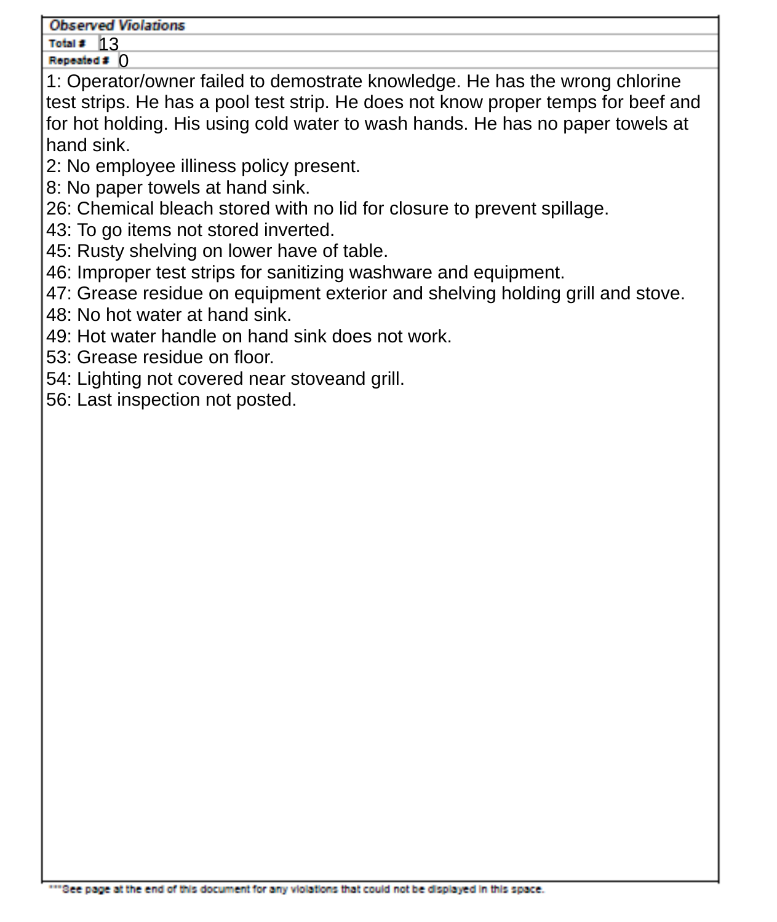#### **Observed Violations**

Total #  $13$ 

Repeated # 0 1: Operator/owner failed to demostrate knowledge. He has the wrong chlorine test strips. He has a pool test strip. He does not know proper temps for beef and for hot holding. His using cold water to wash hands. He has no paper towels at hand sink.

- 2: No employee illiness policy present.
- 8: No paper towels at hand sink.
- 26: Chemical bleach stored with no lid for closure to prevent spillage.
- 43: To go items not stored inverted.
- 45: Rusty shelving on lower have of table.
- 46: Improper test strips for sanitizing washware and equipment.
- 47: Grease residue on equipment exterior and shelving holding grill and stove.
- 48: No hot water at hand sink.
- 49: Hot water handle on hand sink does not work.
- 53: Grease residue on floor.
- 54: Lighting not covered near stoveand grill.
- 56: Last inspection not posted.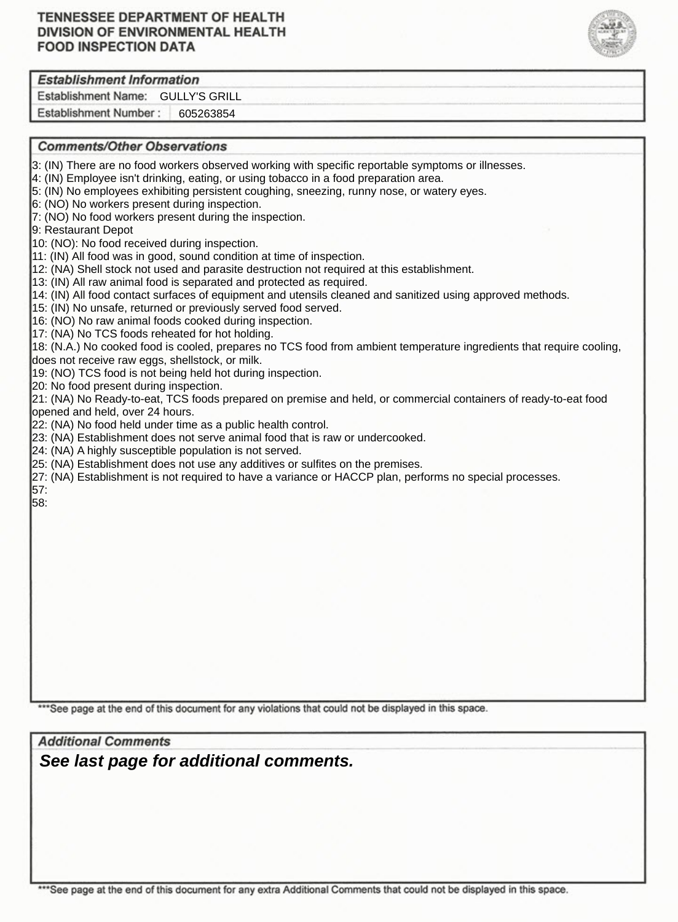### **TENNESSEE DEPARTMENT OF HEALTH** DIVISION OF ENVIRONMENTAL HEALTH **FOOD INSPECTION DATA**



### **Establishment Information**

Establishment Name: GULLY'S GRILL

Establishment Number: 605263854

#### **Comments/Other Observations**

- 3: (IN) There are no food workers observed working with specific reportable symptoms or illnesses.
- 4: (IN) Employee isn't drinking, eating, or using tobacco in a food preparation area.
- 5: (IN) No employees exhibiting persistent coughing, sneezing, runny nose, or watery eyes.
- 6: (NO) No workers present during inspection.
- 7: (NO) No food workers present during the inspection.

9: Restaurant Depot

10: (NO): No food received during inspection.

11: (IN) All food was in good, sound condition at time of inspection.

12: (NA) Shell stock not used and parasite destruction not required at this establishment.

13: (IN) All raw animal food is separated and protected as required.

14: (IN) All food contact surfaces of equipment and utensils cleaned and sanitized using approved methods.

15: (IN) No unsafe, returned or previously served food served.

16: (NO) No raw animal foods cooked during inspection.

17: (NA) No TCS foods reheated for hot holding.

18: (N.A.) No cooked food is cooled, prepares no TCS food from ambient temperature ingredients that require cooling, does not receive raw eggs, shellstock, or milk.

19: (NO) TCS food is not being held hot during inspection.

20: No food present during inspection.

21: (NA) No Ready-to-eat, TCS foods prepared on premise and held, or commercial containers of ready-to-eat food opened and held, over 24 hours.

22: (NA) No food held under time as a public health control.

23: (NA) Establishment does not serve animal food that is raw or undercooked.

- 24: (NA) A highly susceptible population is not served.
- 25: (NA) Establishment does not use any additives or sulfites on the premises.

27: (NA) Establishment is not required to have a variance or HACCP plan, performs no special processes. 57:

58:

\*\*\* See page at the end of this document for any violations that could not be displayed in this space.

**Additional Comments** *See last page for additional comments.*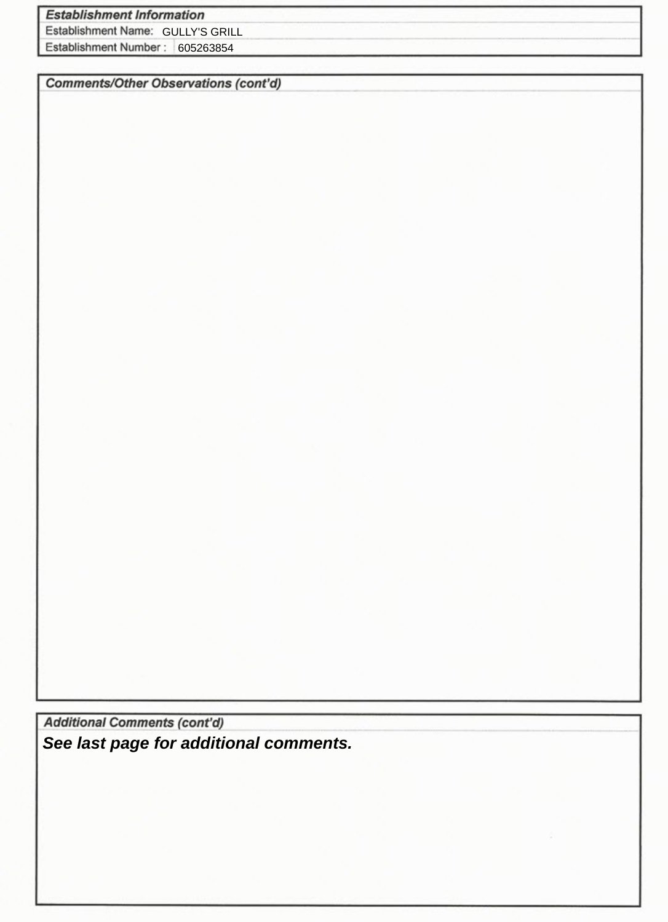## **Establishment Information**

Establishment Name: GULLY'S GRILL

Establishment Number: 605263854

**Comments/Other Observations (cont'd)** 

**Additional Comments (cont'd)** *See last page for additional comments.*